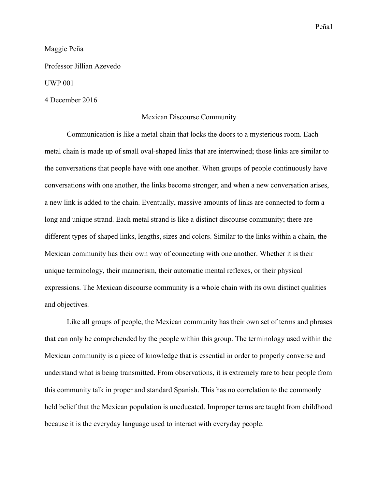Maggie Peña

Professor Jillian Azevedo

UWP 001

## 4 December 2016

## Mexican Discourse Community

Communication is like a metal chain that locks the doors to a mysterious room. Each metal chain is made up of small oval-shaped links that are intertwined; those links are similar to the conversations that people have with one another. When groups of people continuously have conversations with one another, the links become stronger; and when a new conversation arises, a new link is added to the chain. Eventually, massive amounts of links are connected to form a long and unique strand. Each metal strand is like a distinct discourse community; there are different types of shaped links, lengths, sizes and colors. Similar to the links within a chain, the Mexican community has their own way of connecting with one another. Whether it is their unique terminology, their mannerism, their automatic mental reflexes, or their physical expressions. The Mexican discourse community is a whole chain with its own distinct qualities and objectives.

Like all groups of people, the Mexican community has their own set of terms and phrases that can only be comprehended by the people within this group. The terminology used within the Mexican community is a piece of knowledge that is essential in order to properly converse and understand what is being transmitted. From observations, it is extremely rare to hear people from this community talk in proper and standard Spanish. This has no correlation to the commonly held belief that the Mexican population is uneducated. Improper terms are taught from childhood because it is the everyday language used to interact with everyday people.

## Peña1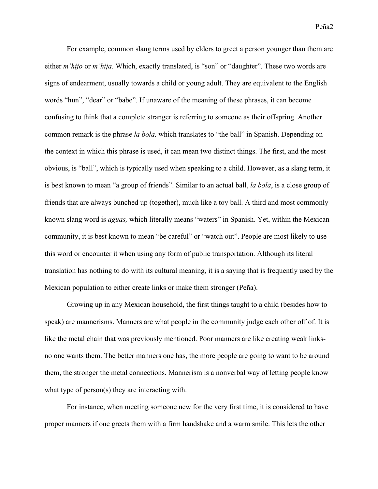Peña2

For example, common slang terms used by elders to greet a person younger than them are either *m'hijo* or *m'hija*. Which, exactly translated, is "son" or "daughter". These two words are signs of endearment, usually towards a child or young adult. They are equivalent to the English words "hun", "dear" or "babe". If unaware of the meaning of these phrases, it can become confusing to think that a complete stranger is referring to someone as their offspring. Another common remark is the phrase *la bola,* which translates to "the ball" in Spanish. Depending on the context in which this phrase is used, it can mean two distinct things. The first, and the most obvious, is "ball", which is typically used when speaking to a child. However, as a slang term, it is best known to mean "a group of friends". Similar to an actual ball, *la bola*, is a close group of friends that are always bunched up (together), much like a toy ball. A third and most commonly known slang word is *aguas,* which literally means "waters" in Spanish. Yet, within the Mexican community, it is best known to mean "be careful" or "watch out". People are most likely to use this word or encounter it when using any form of public transportation. Although its literal translation has nothing to do with its cultural meaning, it is a saying that is frequently used by the Mexican population to either create links or make them stronger (Peña).

Growing up in any Mexican household, the first things taught to a child (besides how to speak) are mannerisms. Manners are what people in the community judge each other off of. It is like the metal chain that was previously mentioned. Poor manners are like creating weak linksno one wants them. The better manners one has, the more people are going to want to be around them, the stronger the metal connections. Mannerism is a nonverbal way of letting people know what type of person(s) they are interacting with.

For instance, when meeting someone new for the very first time, it is considered to have proper manners if one greets them with a firm handshake and a warm smile. This lets the other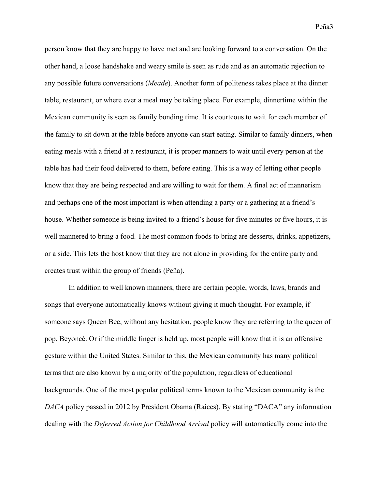person know that they are happy to have met and are looking forward to a conversation. On the other hand, a loose handshake and weary smile is seen as rude and as an automatic rejection to any possible future conversations (*Meade*). Another form of politeness takes place at the dinner table, restaurant, or where ever a meal may be taking place. For example, dinnertime within the Mexican community is seen as family bonding time. It is courteous to wait for each member of the family to sit down at the table before anyone can start eating. Similar to family dinners, when eating meals with a friend at a restaurant, it is proper manners to wait until every person at the table has had their food delivered to them, before eating. This is a way of letting other people know that they are being respected and are willing to wait for them. A final act of mannerism and perhaps one of the most important is when attending a party or a gathering at a friend's house. Whether someone is being invited to a friend's house for five minutes or five hours, it is well mannered to bring a food. The most common foods to bring are desserts, drinks, appetizers, or a side. This lets the host know that they are not alone in providing for the entire party and creates trust within the group of friends (Peña).

In addition to well known manners, there are certain people, words, laws, brands and songs that everyone automatically knows without giving it much thought. For example, if someone says Queen Bee, without any hesitation, people know they are referring to the queen of pop, Beyoncé. Or if the middle finger is held up, most people will know that it is an offensive gesture within the United States. Similar to this, the Mexican community has many political terms that are also known by a majority of the population, regardless of educational backgrounds. One of the most popular political terms known to the Mexican community is the *DACA* policy passed in 2012 by President Obama (Raices). By stating "DACA" any information dealing with the *Deferred Action for Childhood Arrival* policy will automatically come into the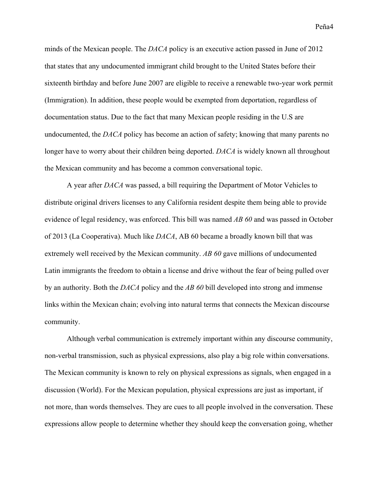Peña4

minds of the Mexican people. The *DACA* policy is an executive action passed in June of 2012 that states that any undocumented immigrant child brought to the United States before their sixteenth birthday and before June 2007 are eligible to receive a renewable two-year work permit (Immigration). In addition, these people would be exempted from deportation, regardless of documentation status. Due to the fact that many Mexican people residing in the U.S are undocumented, the *DACA* policy has become an action of safety; knowing that many parents no longer have to worry about their children being deported. *DACA* is widely known all throughout the Mexican community and has become a common conversational topic.

A year after *DACA* was passed, a bill requiring the Department of Motor Vehicles to distribute original drivers licenses to any California resident despite them being able to provide evidence of legal residency, was enforced. This bill was named *AB 60* and was passed in October of 2013 (La Cooperativa). Much like *DACA*, AB 60 became a broadly known bill that was extremely well received by the Mexican community. *AB 60* gave millions of undocumented Latin immigrants the freedom to obtain a license and drive without the fear of being pulled over by an authority. Both the *DACA* policy and the *AB 60* bill developed into strong and immense links within the Mexican chain; evolving into natural terms that connects the Mexican discourse community.

Although verbal communication is extremely important within any discourse community, non-verbal transmission, such as physical expressions, also play a big role within conversations. The Mexican community is known to rely on physical expressions as signals, when engaged in a discussion (World). For the Mexican population, physical expressions are just as important, if not more, than words themselves. They are cues to all people involved in the conversation. These expressions allow people to determine whether they should keep the conversation going, whether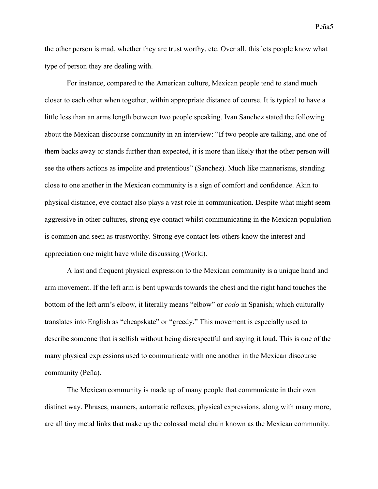the other person is mad, whether they are trust worthy, etc. Over all, this lets people know what

type of person they are dealing with.

For instance, compared to the American culture, Mexican people tend to stand much closer to each other when together, within appropriate distance of course. It is typical to have a little less than an arms length between two people speaking. Ivan Sanchez stated the following about the Mexican discourse community in an interview: "If two people are talking, and one of them backs away or stands further than expected, it is more than likely that the other person will see the others actions as impolite and pretentious" (Sanchez). Much like mannerisms, standing close to one another in the Mexican community is a sign of comfort and confidence. Akin to physical distance, eye contact also plays a vast role in communication. Despite what might seem aggressive in other cultures, strong eye contact whilst communicating in the Mexican population is common and seen as trustworthy. Strong eye contact lets others know the interest and appreciation one might have while discussing (World).

A last and frequent physical expression to the Mexican community is a unique hand and arm movement. If the left arm is bent upwards towards the chest and the right hand touches the bottom of the left arm's elbow, it literally means "elbow" or *codo* in Spanish; which culturally translates into English as "cheapskate" or "greedy." This movement is especially used to describe someone that is selfish without being disrespectful and saying it loud. This is one of the many physical expressions used to communicate with one another in the Mexican discourse community (Peña).

The Mexican community is made up of many people that communicate in their own distinct way. Phrases, manners, automatic reflexes, physical expressions, along with many more, are all tiny metal links that make up the colossal metal chain known as the Mexican community.

Peña5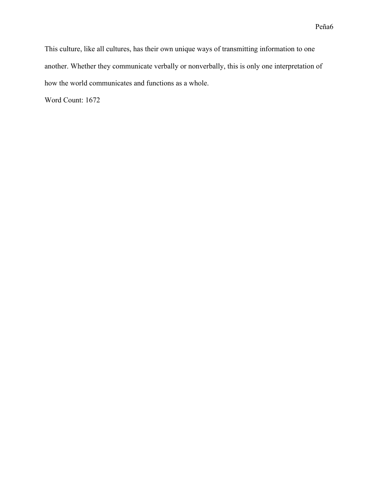This culture, like all cultures, has their own unique ways of transmitting information to one another. Whether they communicate verbally or nonverbally, this is only one interpretation of how the world communicates and functions as a whole.

Word Count: 1672